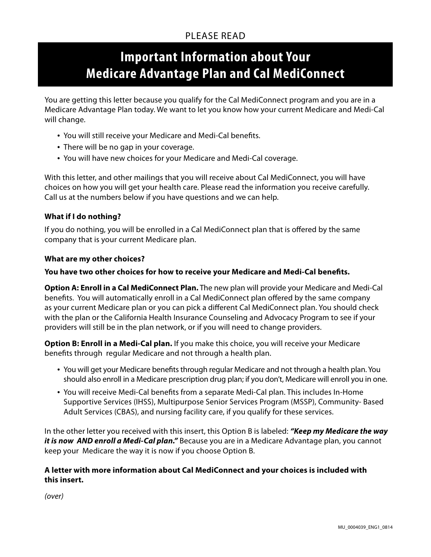# PI FASE READ

# **Important Information about Your Medicare Advantage Plan and Cal MediConnect**

You are getting this letter because you qualify for the Cal MediConnect program and you are in a Medicare Advantage Plan today. We want to let you know how your current Medicare and Medi-Cal will change.

- You will still receive your Medicare and Medi-Cal benefits.
- There will be no gap in your coverage.
- You will have new choices for your Medicare and Medi-Cal coverage.

With this letter, and other mailings that you will receive about Cal MediConnect, you will have choices on how you will get your health care. Please read the information you receive carefully. Call us at the numbers below if you have questions and we can help.

## **What if I do nothing?**

If you do nothing, you will be enrolled in a Cal MediConnect plan that is offered by the same company that is your current Medicare plan.

#### **What are my other choices?**

#### **You have two other choices for how to receive your Medicare and Medi-Cal benefits.**

**Option A: Enroll in a Cal MediConnect Plan.** The new plan will provide your Medicare and Medi-Cal benefits. You will automatically enroll in a Cal MediConnect plan offered by the same company as your current Medicare plan or you can pick a different Cal MediConnect plan. You should check with the plan or the California Health Insurance Counseling and Advocacy Program to see if your providers will still be in the plan network, or if you will need to change providers.

**Option B: Enroll in a Medi-Cal plan.** If you make this choice, you will receive your Medicare benefits through regular Medicare and not through a health plan.

- • You will get your Medicare benefits through regular Medicare and not through a health plan. You should also enroll in a Medicare prescription drug plan; if you don't, Medicare will enroll you in one.
- You will receive Medi-Cal benefits from a separate Medi-Cal plan. This includes In-Home Supportive Services (IHSS), Multipurpose Senior Services Program (MSSP), Community- Based Adult Services (CBAS), and nursing facility care, if you qualify for these services.

In the other letter you received with this insert, this Option B is labeled: *"Keep my Medicare the way it is now AND enroll a Medi-Cal plan."* Because you are in a Medicare Advantage plan, you cannot keep your Medicare the way it is now if you choose Option B.

## **A letter with more information about Cal MediConnect and your choices is included with this insert.**

*(over)*